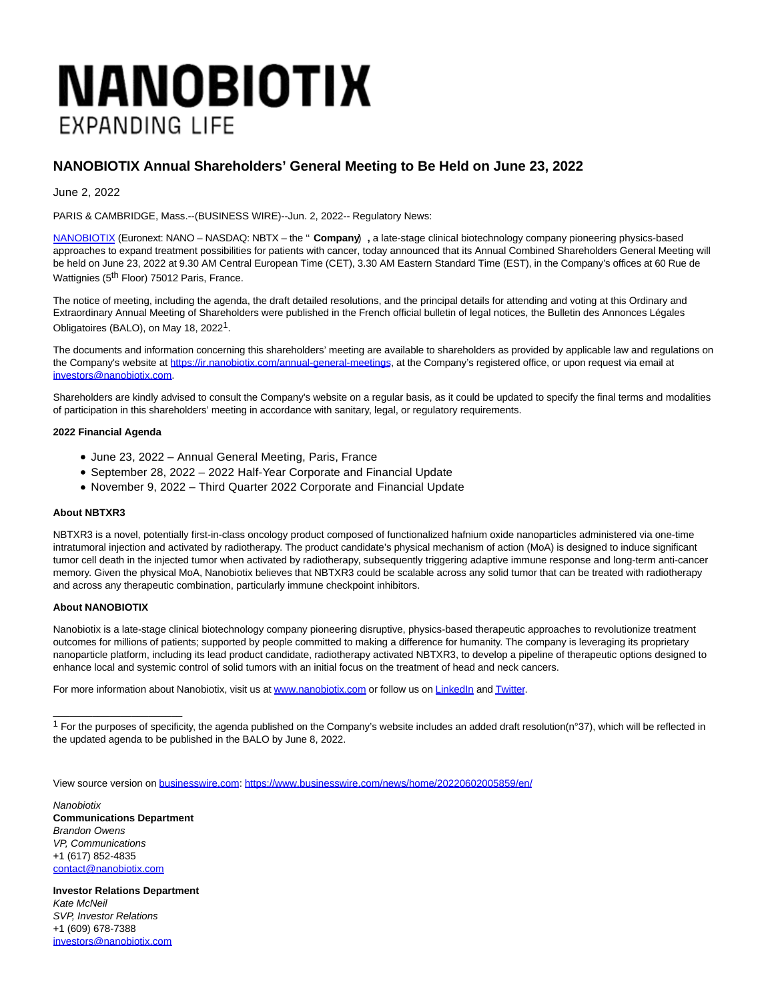# **NANOBIOTIX EXPANDING LIFE**

## **NANOBIOTIX Annual Shareholders' General Meeting to Be Held on June 23, 2022**

June 2, 2022

PARIS & CAMBRIDGE, Mass.--(BUSINESS WIRE)--Jun. 2, 2022-- Regulatory News:

[NANOBIOTIX \(](https://cts.businesswire.com/ct/CT?id=smartlink&url=http%3A%2F%2Fwww.nanobiotix.com&esheet=52738227&newsitemid=20220602005859&lan=en-US&anchor=NANOBIOTIX&index=1&md5=72e64b8aca1365091ab81ddb226b8e93)Euronext: NANO – NASDAQ: NBTX – the '' **Company**') **,** a late-stage clinical biotechnology company pioneering physics-based approaches to expand treatment possibilities for patients with cancer, today announced that its Annual Combined Shareholders General Meeting will be held on June 23, 2022 at 9.30 AM Central European Time (CET), 3.30 AM Eastern Standard Time (EST), in the Company's offices at 60 Rue de Wattignies (5<sup>th</sup> Floor) 75012 Paris, France.

The notice of meeting, including the agenda, the draft detailed resolutions, and the principal details for attending and voting at this Ordinary and Extraordinary Annual Meeting of Shareholders were published in the French official bulletin of legal notices, the Bulletin des Annonces Légales Obligatoires (BALO), on May 18, 20221.

The documents and information concerning this shareholders' meeting are available to shareholders as provided by applicable law and regulations on the Company's website at [https://ir.nanobiotix.com/annual-general-meetings,](https://cts.businesswire.com/ct/CT?id=smartlink&url=https%3A%2F%2Fir.nanobiotix.com%2Fannual-general-meetings&esheet=52738227&newsitemid=20220602005859&lan=en-US&anchor=https%3A%2F%2Fir.nanobiotix.com%2Fannual-general-meetings&index=2&md5=648a3f14b084cd2a914b03191a575d3d) at the Company's registered office, or upon request via email at [investors@nanobiotix.com.](mailto:investors@nanobiotix.com)

Shareholders are kindly advised to consult the Company's website on a regular basis, as it could be updated to specify the final terms and modalities of participation in this shareholders' meeting in accordance with sanitary, legal, or regulatory requirements.

#### **2022 Financial Agenda**

- June 23, 2022 Annual General Meeting, Paris, France
- September 28, 2022 2022 Half-Year Corporate and Financial Update
- November 9, 2022 Third Quarter 2022 Corporate and Financial Update

### **About NBTXR3**

NBTXR3 is a novel, potentially first-in-class oncology product composed of functionalized hafnium oxide nanoparticles administered via one-time intratumoral injection and activated by radiotherapy. The product candidate's physical mechanism of action (MoA) is designed to induce significant tumor cell death in the injected tumor when activated by radiotherapy, subsequently triggering adaptive immune response and long-term anti-cancer memory. Given the physical MoA, Nanobiotix believes that NBTXR3 could be scalable across any solid tumor that can be treated with radiotherapy and across any therapeutic combination, particularly immune checkpoint inhibitors.

#### **About NANOBIOTIX**

Nanobiotix is a late-stage clinical biotechnology company pioneering disruptive, physics-based therapeutic approaches to revolutionize treatment outcomes for millions of patients; supported by people committed to making a difference for humanity. The company is leveraging its proprietary nanoparticle platform, including its lead product candidate, radiotherapy activated NBTXR3, to develop a pipeline of therapeutic options designed to enhance local and systemic control of solid tumors with an initial focus on the treatment of head and neck cancers.

For more information about Nanobiotix, visit us at [www.nanobiotix.com o](https://cts.businesswire.com/ct/CT?id=smartlink&url=http%3A%2F%2Fwww.nanobiotix.com&esheet=52738227&newsitemid=20220602005859&lan=en-US&anchor=www.nanobiotix.com&index=3&md5=0a8eea8c928e7d8f0e2373ad7920c8ee)r follow us on [LinkedIn a](https://cts.businesswire.com/ct/CT?id=smartlink&url=http%3A%2F%2Fwww.linkedin.com%2Fcompany%2Fnanobiotix&esheet=52738227&newsitemid=20220602005859&lan=en-US&anchor=LinkedIn&index=4&md5=5de75e221f66c3453dad2fa2ae0a96bb)n[d Twitter.](https://cts.businesswire.com/ct/CT?id=smartlink&url=http%3A%2F%2Fwww.twitter.com%2Fnanobiotix&esheet=52738227&newsitemid=20220602005859&lan=en-US&anchor=Twitter&index=5&md5=cac054fca770b624c9cab185e51d0083)

 $1$  For the purposes of specificity, the agenda published on the Company's website includes an added draft resolution(n°37), which will be reflected in the updated agenda to be published in the BALO by June 8, 2022.

View source version on [businesswire.com:](http://businesswire.com/)<https://www.businesswire.com/news/home/20220602005859/en/>

**Nanobiotix Communications Department** Brandon Owens VP, Communications +1 (617) 852-4835 [contact@nanobiotix.com](mailto:contact@nanobiotix.com)

 $\_$ 

**Investor Relations Department** Kate McNeil SVP, Investor Relations +1 (609) 678-7388 [investors@nanobiotix.com](mailto:investors@nanobiotix.com)